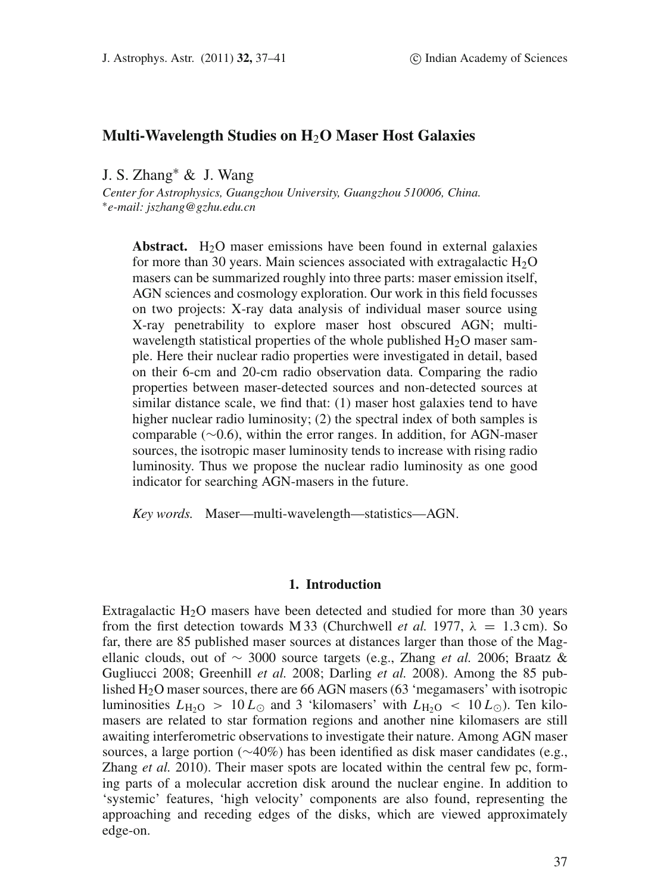# **Multi-Wavelength Studies on H**2**O Maser Host Galaxies**

J. S. Zhang<sup>∗</sup> & J. Wang

*Center for Astrophysics, Guangzhou University, Guangzhou 510006, China.* <sup>∗</sup>*e-mail: jszhang@gzhu.edu.cn*

**Abstract.** H<sub>2</sub>O maser emissions have been found in external galaxies for more than 30 years. Main sciences associated with extragalactic  $H_2O$ masers can be summarized roughly into three parts: maser emission itself, AGN sciences and cosmology exploration. Our work in this field focusses on two projects: X-ray data analysis of individual maser source using X-ray penetrability to explore maser host obscured AGN; multiwavelength statistical properties of the whole published  $H_2O$  maser sample. Here their nuclear radio properties were investigated in detail, based on their 6-cm and 20-cm radio observation data. Comparing the radio properties between maser-detected sources and non-detected sources at similar distance scale, we find that: (1) maser host galaxies tend to have higher nuclear radio luminosity; (2) the spectral index of both samples is comparable (∼0.6), within the error ranges. In addition, for AGN-maser sources, the isotropic maser luminosity tends to increase with rising radio luminosity. Thus we propose the nuclear radio luminosity as one good indicator for searching AGN-masers in the future.

*Key words.* Maser—multi-wavelength—statistics—AGN.

## **1. Introduction**

Extragalactic  $H_2O$  masers have been detected and studied for more than 30 years from the first detection towards M 33 (Churchwell *et al.* 1977,  $\lambda = 1.3$  cm). So far, there are 85 published maser sources at distances larger than those of the Magellanic clouds, out of ∼ 3000 source targets (e.g., Zhang *et al.* 2006; Braatz & Gugliucci 2008; Greenhill *et al.* 2008; Darling *et al.* 2008). Among the 85 published H2O maser sources, there are 66 AGN masers (63 'megamasers' with isotropic luminosities  $L_{\text{H}_2\text{O}} > 10 L_{\odot}$  and 3 'kilomasers' with  $L_{\text{H}_2\text{O}} < 10 L_{\odot}$ ). Ten kilomasers are related to star formation regions and another nine kilomasers are still awaiting interferometric observations to investigate their nature. Among AGN maser sources, a large portion (∼40%) has been identified as disk maser candidates (e.g., Zhang *et al.* 2010). Their maser spots are located within the central few pc, forming parts of a molecular accretion disk around the nuclear engine. In addition to 'systemic' features, 'high velocity' components are also found, representing the approaching and receding edges of the disks, which are viewed approximately edge-on.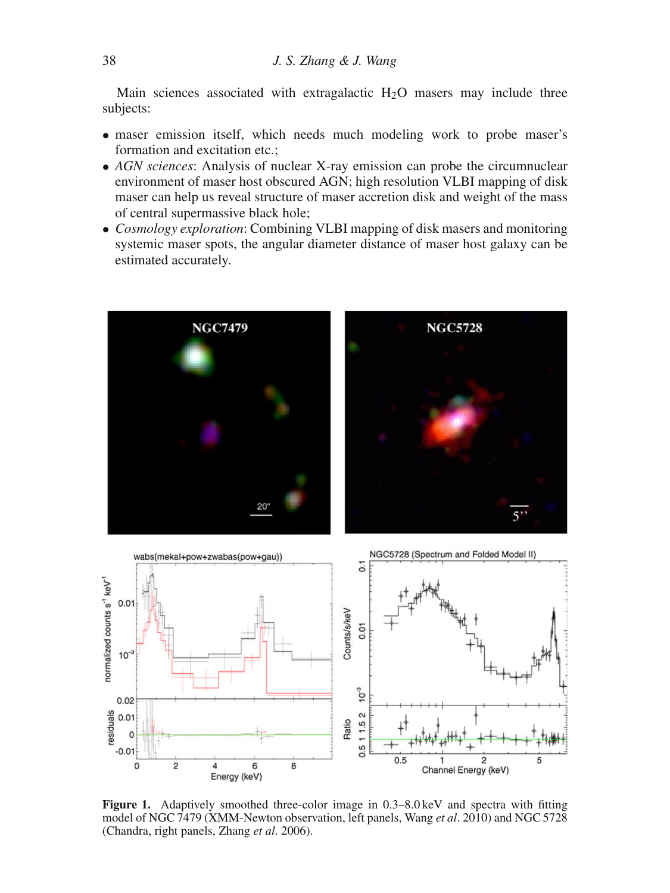Main sciences associated with extragalactic  $H_2O$  masers may include three subjects:

- maser emission itself, which needs much modeling work to probe maser's formation and excitation etc.:
- *AGN sciences*: Analysis of nuclear X-ray emission can probe the circumnuclear environment of maser host obscured AGN; high resolution VLBI mapping of disk maser can help us reveal structure of maser accretion disk and weight of the mass of central supermassive black hole;
- *Cosmology exploration*: Combining VLBI mapping of disk masers and monitoring systemic maser spots, the angular diameter distance of maser host galaxy can be estimated accurately.







**Figure 1.** Adaptively smoothed three-color image in 0.3–8.0 keV and spectra with fitting model of NGC 7479 (XMM-Newton observation, left panels, Wang *et al*. 2010) and NGC 5728 (Chandra, right panels, Zhang *et al*. 2006).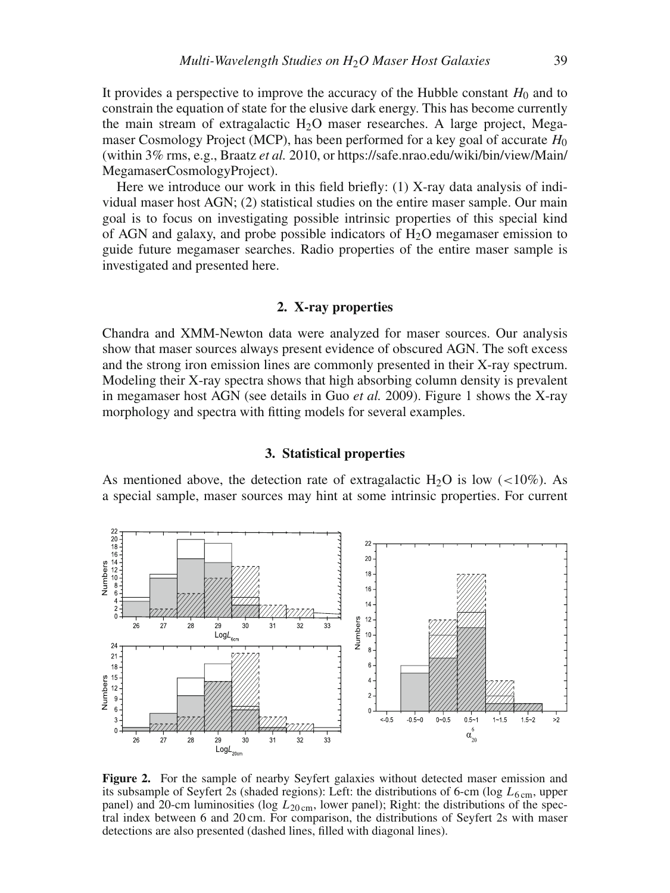It provides a perspective to improve the accuracy of the Hubble constant  $H_0$  and to constrain the equation of state for the elusive dark energy. This has become currently the main stream of extragalactic  $H_2O$  maser researches. A large project, Megamaser Cosmology Project (MCP), has been performed for a key goal of accurate *H*<sup>0</sup> (within 3% rms, e.g., Braatz *et al.* 2010, or https://safe.nrao.edu/wiki/bin/view/Main/ MegamaserCosmologyProject).

Here we introduce our work in this field briefly: (1) X-ray data analysis of individual maser host AGN; (2) statistical studies on the entire maser sample. Our main goal is to focus on investigating possible intrinsic properties of this special kind of AGN and galaxy, and probe possible indicators of  $H_2O$  megamaser emission to guide future megamaser searches. Radio properties of the entire maser sample is investigated and presented here.

#### **2. X-ray properties**

Chandra and XMM-Newton data were analyzed for maser sources. Our analysis show that maser sources always present evidence of obscured AGN. The soft excess and the strong iron emission lines are commonly presented in their X-ray spectrum. Modeling their X-ray spectra shows that high absorbing column density is prevalent in megamaser host AGN (see details in Guo *et al.* 2009). Figure 1 shows the X-ray morphology and spectra with fitting models for several examples.

# **3. Statistical properties**

As mentioned above, the detection rate of extragalactic H<sub>2</sub>O is low (<10%). As a special sample, maser sources may hint at some intrinsic properties. For current



**Figure 2.** For the sample of nearby Seyfert galaxies without detected maser emission and its subsample of Seyfert 2s (shaded regions): Left: the distributions of 6-cm ( $\log L_{6 \text{ cm}}$ , upper panel) and 20-cm luminosities (log  $L_{20 \text{cm}}$ , lower panel); Right: the distributions of the spectral index between 6 and 20 cm. For comparison, the distributions of Seyfert 2s with maser detections are also presented (dashed lines, filled with diagonal lines).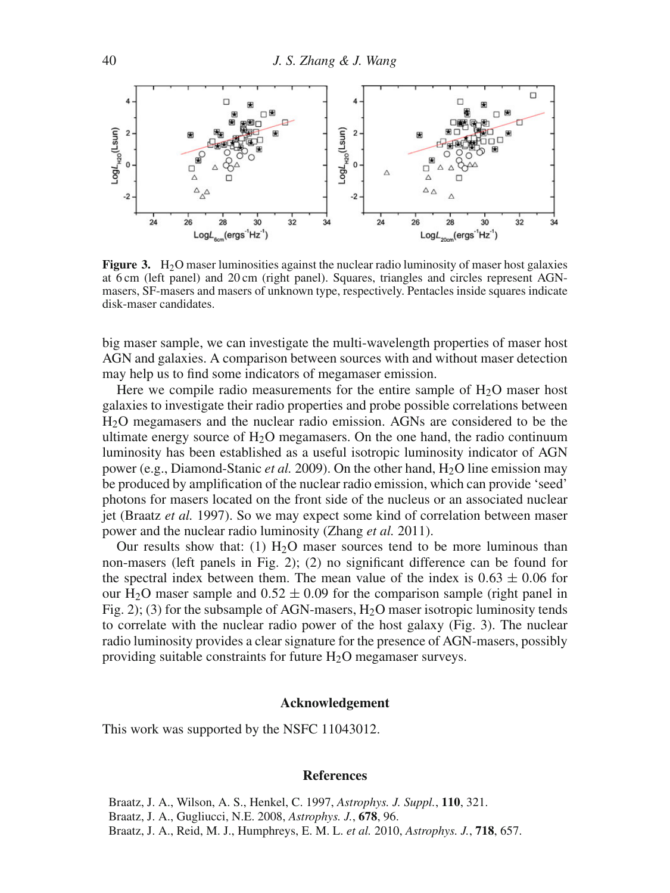

**Figure 3.** H<sub>2</sub>O maser luminosities against the nuclear radio luminosity of maser host galaxies at 6 cm (left panel) and 20 cm (right panel). Squares, triangles and circles represent AGNmasers, SF-masers and masers of unknown type, respectively. Pentacles inside squares indicate disk-maser candidates.

big maser sample, we can investigate the multi-wavelength properties of maser host AGN and galaxies. A comparison between sources with and without maser detection may help us to find some indicators of megamaser emission.

Here we compile radio measurements for the entire sample of  $H_2O$  maser host galaxies to investigate their radio properties and probe possible correlations between H2O megamasers and the nuclear radio emission. AGNs are considered to be the ultimate energy source of  $H_2O$  megamasers. On the one hand, the radio continuum luminosity has been established as a useful isotropic luminosity indicator of AGN power (e.g., Diamond-Stanic *et al.* 2009). On the other hand, H2O line emission may be produced by amplification of the nuclear radio emission, which can provide 'seed' photons for masers located on the front side of the nucleus or an associated nuclear jet (Braatz *et al.* 1997). So we may expect some kind of correlation between maser power and the nuclear radio luminosity (Zhang *et al.* 2011).

Our results show that: (1)  $H<sub>2</sub>O$  maser sources tend to be more luminous than non-masers (left panels in Fig. 2); (2) no significant difference can be found for the spectral index between them. The mean value of the index is  $0.63 \pm 0.06$  for our H<sub>2</sub>O maser sample and  $0.52 \pm 0.09$  for the comparison sample (right panel in Fig. 2); (3) for the subsample of AGN-masers,  $H_2O$  maser isotropic luminosity tends to correlate with the nuclear radio power of the host galaxy (Fig. 3). The nuclear radio luminosity provides a clear signature for the presence of AGN-masers, possibly providing suitable constraints for future  $H_2O$  megamaser surveys.

### **Acknowledgement**

This work was supported by the NSFC 11043012.

#### **References**

Braatz, J. A., Wilson, A. S., Henkel, C. 1997, *Astrophys. J. Suppl.*, **110**, 321. Braatz, J. A., Gugliucci, N.E. 2008, *Astrophys. J.*, **678**, 96. Braatz, J. A., Reid, M. J., Humphreys, E. M. L. *et al.* 2010, *Astrophys. J.*, **718**, 657.